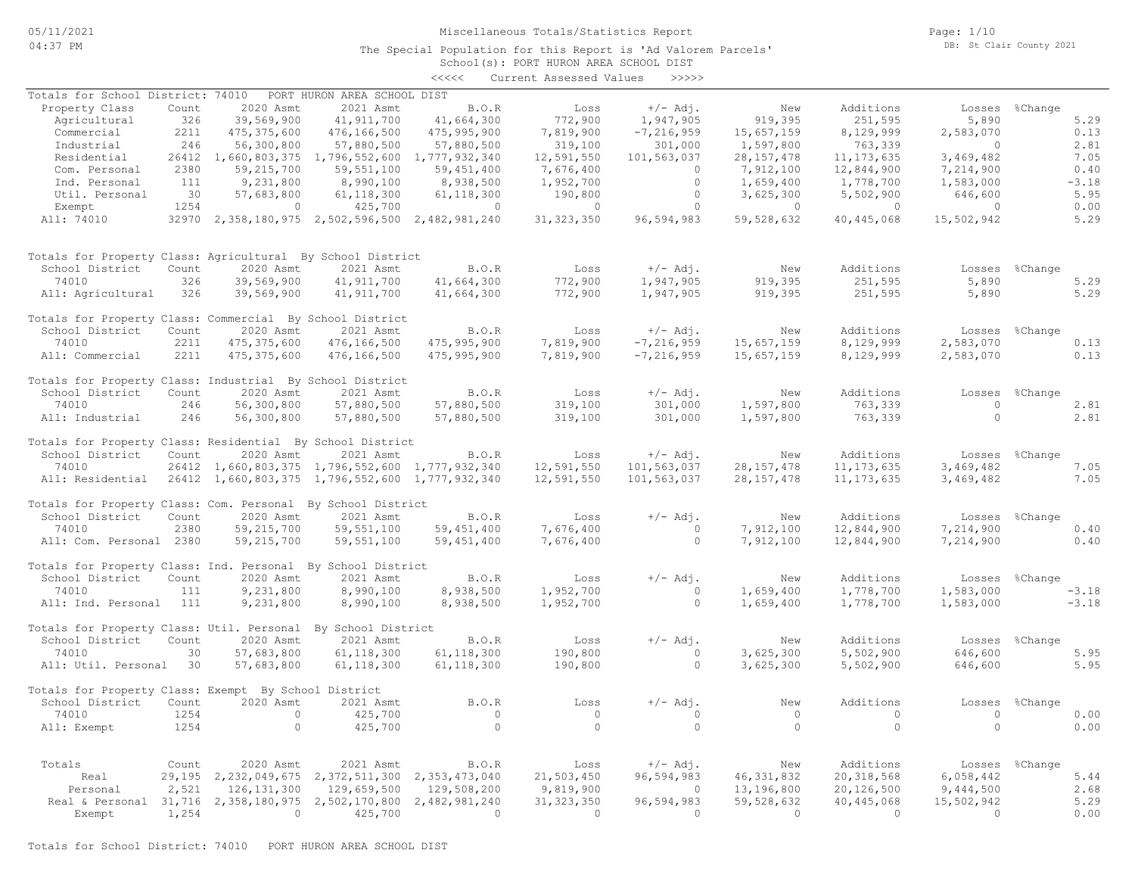05/11/2021 04:37 PM

### Miscellaneous Totals/Statistics Report

The Special Population for this Report is 'Ad Valorem Parcels'

Page: 1/10 DB: St Clair County 2021

## School(s): PORT HURON AREA SCHOOL DIST <<<<< Current Assessed Values >>>>>

|                                                                  |       |               |                                                            | ヽヽヽヽヽ          | Cullent Assesseu values |                |                |                |                |                |         |
|------------------------------------------------------------------|-------|---------------|------------------------------------------------------------|----------------|-------------------------|----------------|----------------|----------------|----------------|----------------|---------|
| Totals for School District: 74010                                |       |               | PORT HURON AREA SCHOOL DIST                                |                |                         |                |                |                |                |                |         |
| Property Class                                                   | Count | 2020 Asmt     | 2021 Asmt                                                  | B.O.R          | Loss                    | $+/-$ Adi.     | New            | Additions      |                | Losses %Change |         |
| Agricultural                                                     | 326   | 39,569,900    | 41, 911, 700                                               | 41,664,300     | 772,900                 | 1,947,905      | 919,395        | 251,595        | 5,890          |                | 5.29    |
| Commercial                                                       | 2211  | 475, 375, 600 | 476,166,500                                                | 475,995,900    | 7,819,900               | $-7, 216, 959$ | 15,657,159     | 8,129,999      | 2,583,070      |                | 0.13    |
| Industrial                                                       | 246   | 56,300,800    | 57,880,500                                                 | 57,880,500     | 319,100                 | 301,000        | 1,597,800      | 763,339        | $\overline{0}$ |                | 2.81    |
| Residential                                                      |       |               | 26412 1,660,803,375 1,796,552,600                          | 1,777,932,340  | 12,591,550              | 101,563,037    | 28, 157, 478   | 11, 173, 635   | 3,469,482      |                | 7.05    |
| Com. Personal                                                    | 2380  | 59,215,700    | 59, 551, 100                                               | 59,451,400     | 7,676,400               | $\Omega$       | 7,912,100      | 12,844,900     | 7,214,900      |                | 0.40    |
| Ind. Personal                                                    | 111   | 9,231,800     | 8,990,100                                                  | 8,938,500      | 1,952,700               | $\circ$        | 1,659,400      | 1,778,700      | 1,583,000      |                | $-3.18$ |
| Util. Personal                                                   | 30    | 57,683,800    | 61, 118, 300                                               | 61, 118, 300   | 190,800                 | $\circ$        | 3,625,300      | 5,502,900      | 646,600        |                | 5.95    |
|                                                                  | 1254  |               |                                                            |                |                         | $\circ$        |                | $\overline{0}$ |                |                | 0.00    |
| Exempt                                                           |       | $\circ$       | 425,700                                                    | $\overline{0}$ | $\overline{0}$          |                | $\overline{0}$ |                | $\overline{0}$ |                |         |
| All: 74010                                                       |       |               | 32970 2,358,180,975 2,502,596,500 2,482,981,240            |                | 31, 323, 350            | 96,594,983     | 59,528,632     | 40,445,068     | 15,502,942     |                | 5.29    |
| Totals for Property Class: Agricultural By School District       |       |               |                                                            |                |                         |                |                |                |                |                |         |
| School District                                                  | Count | 2020 Asmt     | 2021 Asmt                                                  | B.O.R          | Loss                    | $+/-$ Adj.     | New            | Additions      |                | Losses %Change |         |
| 74010                                                            | 326   | 39,569,900    | 41, 911, 700                                               | 41,664,300     | 772,900                 | 1,947,905      | 919,395        | 251,595        | 5,890          |                | 5.29    |
| All: Agricultural                                                | 326   | 39,569,900    | 41, 911, 700                                               | 41,664,300     | 772,900                 | 1,947,905      | 919,395        | 251,595        | 5,890          |                | 5.29    |
| Totals for Property Class: Commercial By School District         |       |               |                                                            |                |                         |                |                |                |                |                |         |
| School District                                                  | Count | 2020 Asmt     | 2021 Asmt                                                  | B.O.R          | Loss                    | $+/-$ Adj.     | New            | Additions      |                | Losses %Change |         |
| 74010                                                            | 2211  | 475, 375, 600 | 476,166,500                                                | 475,995,900    | 7,819,900               | $-7, 216, 959$ | 15,657,159     | 8,129,999      | 2,583,070      |                | 0.13    |
| All: Commercial                                                  | 2211  | 475, 375, 600 | 476,166,500                                                | 475,995,900    | 7,819,900               | $-7, 216, 959$ | 15,657,159     | 8,129,999      | 2,583,070      |                | 0.13    |
|                                                                  |       |               |                                                            |                |                         |                |                |                |                |                |         |
| Totals for Property Class: Industrial By School District         |       |               |                                                            |                |                         |                |                |                |                |                |         |
| School District                                                  | Count | 2020 Asmt     | 2021 Asmt                                                  | B.O.R          | Loss                    | $+/-$ Adj.     | New            | Additions      | Losses         | %Change        |         |
| 74010                                                            | 246   | 56,300,800    | 57,880,500                                                 | 57,880,500     | 319,100                 | 301,000        | 1,597,800      | 763,339        | $\circ$        |                | 2.81    |
| All: Industrial                                                  | 246   | 56,300,800    | 57,880,500                                                 | 57,880,500     | 319,100                 | 301,000        | 1,597,800      | 763,339        | $\circ$        |                | 2.81    |
| Totals for Property Class: Residential By School District        |       |               |                                                            |                |                         |                |                |                |                |                |         |
| School District                                                  | Count | 2020 Asmt     | 2021 Asmt                                                  | B.O.R          | Loss                    | $+/-$ Adj.     | New            | Additions      |                | Losses %Change |         |
| 74010                                                            |       |               | 26412 1,660,803,375 1,796,552,600 1,777,932,340            |                | 12,591,550              | 101,563,037    | 28, 157, 478   | 11, 173, 635   | 3,469,482      |                | 7.05    |
|                                                                  |       |               |                                                            |                | 12,591,550              | 101,563,037    | 28, 157, 478   | 11, 173, 635   | 3,469,482      |                | 7.05    |
| All: Residential 26412 1,660,803,375 1,796,552,600 1,777,932,340 |       |               |                                                            |                |                         |                |                |                |                |                |         |
| Totals for Property Class: Com. Personal By School District      |       |               |                                                            |                |                         |                |                |                |                |                |         |
| School District                                                  | Count | 2020 Asmt     | 2021 Asmt                                                  | B.O.R          | Loss                    | $+/-$ Adj.     | New            | Additions      |                | Losses %Change |         |
| 74010                                                            | 2380  | 59, 215, 700  | 59, 551, 100                                               | 59, 451, 400   | 7,676,400               | $\overline{0}$ | 7,912,100      | 12,844,900     | 7,214,900      |                | 0.40    |
| All: Com. Personal 2380                                          |       | 59,215,700    | 59,551,100                                                 | 59, 451, 400   | 7,676,400               | $\circ$        | 7,912,100      | 12,844,900     | 7,214,900      |                | 0.40    |
|                                                                  |       |               |                                                            |                |                         |                |                |                |                |                |         |
| Totals for Property Class: Ind. Personal By School District      |       |               |                                                            |                |                         |                |                |                |                |                |         |
| School District                                                  | Count | 2020 Asmt     | 2021 Asmt                                                  | B.O.R          | Loss                    | $+/-$ Adj.     | New            | Additions      |                | Losses %Change |         |
| 74010                                                            | 111   | 9,231,800     | 8,990,100                                                  | 8,938,500      | 1,952,700               | $\circ$        | 1,659,400      | 1,778,700      | 1,583,000      |                | $-3.18$ |
| All: Ind. Personal                                               | 111   | 9,231,800     | 8,990,100                                                  | 8,938,500      | 1,952,700               | $\bigcirc$     | 1,659,400      | 1,778,700      | 1,583,000      |                | $-3.18$ |
| Totals for Property Class: Util. Personal By School District     |       |               |                                                            |                |                         |                |                |                |                |                |         |
| School District                                                  | Count | 2020 Asmt     | 2021 Asmt                                                  | B.O.R          | Loss                    | $+/-$ Adj.     | New            | Additions      |                | Losses %Change |         |
| 74010                                                            | 30    | 57,683,800    |                                                            |                | 190,800                 | $\Omega$       |                | 5,502,900      |                |                | 5.95    |
|                                                                  |       |               | 61, 118, 300                                               | 61, 118, 300   |                         |                | 3,625,300      |                | 646,600        |                |         |
| All: Util. Personal 30                                           |       | 57,683,800    | 61, 118, 300                                               | 61, 118, 300   | 190,800                 | $\circ$        | 3,625,300      | 5,502,900      | 646,600        |                | 5.95    |
| Totals for Property Class: Exempt By School District             |       |               |                                                            |                |                         |                |                |                |                |                |         |
| School District                                                  | Count | 2020 Asmt     | 2021 Asmt                                                  | B.O.R          | Loss                    | $+/-$ Adj.     | New            | Additions      |                | Losses %Change |         |
| 74010                                                            | 1254  | $\circ$       | 425,700                                                    | $\circ$        | $\overline{0}$          | $\circ$        | $\overline{0}$ | $\overline{0}$ | $\overline{0}$ |                | 0.00    |
| All: Exempt                                                      | 1254  | $\circ$       | 425,700                                                    | $\Omega$       | $\overline{0}$          | $\Omega$       | $\bigcirc$     | $\circ$        | $\Omega$       |                | 0.00    |
|                                                                  |       |               |                                                            |                |                         |                |                |                |                |                |         |
|                                                                  |       |               |                                                            |                |                         |                |                |                |                |                |         |
| Totals                                                           | Count | 2020 Asmt     | 2021 Asmt                                                  | B.O.R          | Loss                    | $+/-$ Adj.     | New            | Additions      |                | Losses %Change |         |
| Real                                                             |       |               | 29, 195 2, 232, 049, 675 2, 372, 511, 300 2, 353, 473, 040 |                | 21,503,450              | 96,594,983     | 46, 331, 832   | 20, 318, 568   | 6,058,442      |                | 5.44    |
| Personal                                                         | 2,521 | 126, 131, 300 | 129,659,500                                                | 129,508,200    | 9,819,900               | $\overline{0}$ | 13,196,800     | 20,126,500     | 9,444,500      |                | 2.68    |
| Real & Personal 31,716 2,358,180,975 2,502,170,800               |       |               |                                                            | 2,482,981,240  | 31, 323, 350            | 96,594,983     | 59,528,632     | 40,445,068     | 15,502,942     |                | 5.29    |
| Exempt                                                           | 1,254 | $\Omega$      | 425,700                                                    | $\Omega$       | $\bigcirc$              | $\Omega$       | $\Omega$       | $\overline{0}$ | $\Omega$       |                | 0.00    |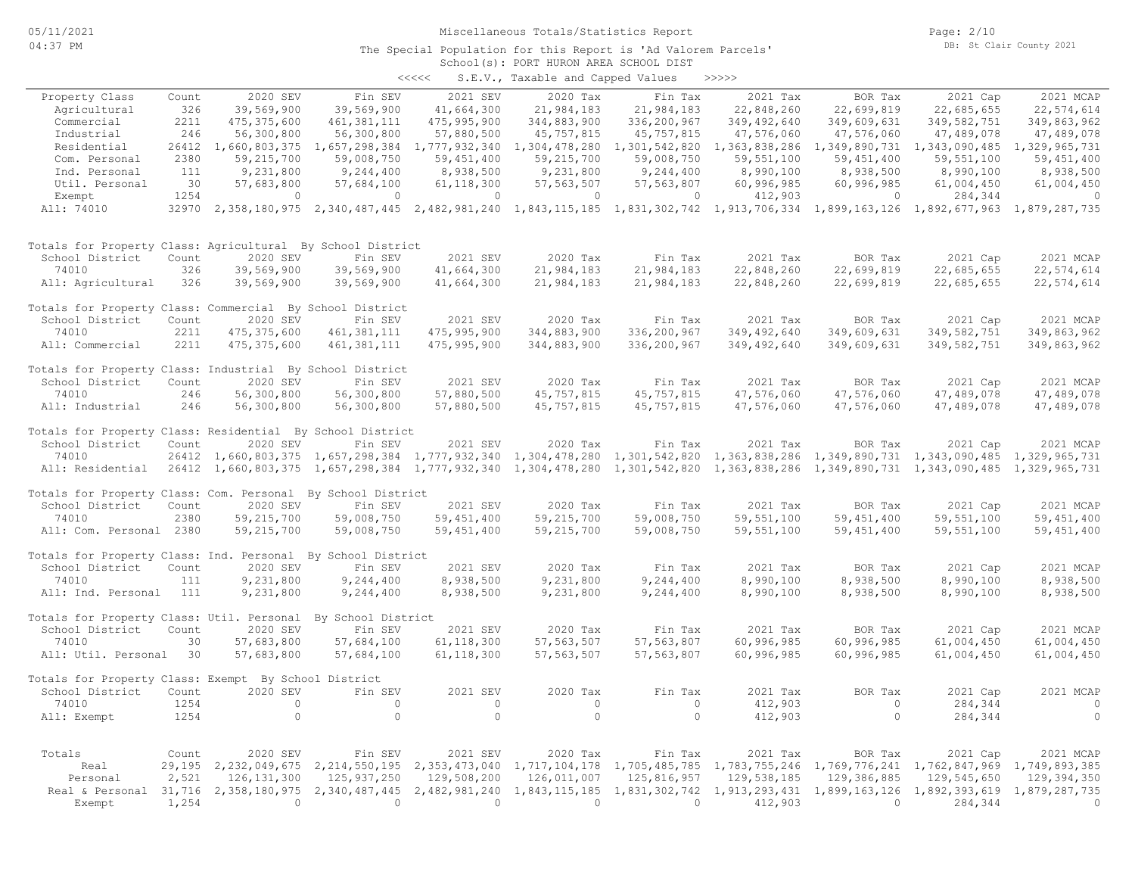# Miscellaneous Totals/Statistics Report

#### School(s): PORT HURON AREA SCHOOL DIST The Special Population for this Report is 'Ad Valorem Parcels'

| くくくくく | S.E.V., Taxable and Capped Values |  |  |  | >>>>> |
|-------|-----------------------------------|--|--|--|-------|
|-------|-----------------------------------|--|--|--|-------|

| Property Class                                               | Count  | 2020 SEV                          | Fin SEV                                                                                                                             | 2021 SEV                                  | 2020 Tax      | Fin Tax                     | 2021 Tax      | BOR Tax                                   | 2021 Cap                    | 2021 MCAP     |
|--------------------------------------------------------------|--------|-----------------------------------|-------------------------------------------------------------------------------------------------------------------------------------|-------------------------------------------|---------------|-----------------------------|---------------|-------------------------------------------|-----------------------------|---------------|
| Agricultural                                                 | 326    | 39,569,900                        | 39,569,900                                                                                                                          | 41,664,300                                | 21,984,183    | 21,984,183                  | 22,848,260    | 22,699,819                                | 22,685,655                  | 22,574,614    |
| Commercial                                                   | 2211   | 475, 375, 600                     | 461, 381, 111                                                                                                                       | 475,995,900                               | 344,883,900   | 336,200,967                 | 349,492,640   | 349,609,631                               | 349,582,751                 | 349,863,962   |
| Industrial                                                   | 246    | 56,300,800                        | 56,300,800                                                                                                                          | 57,880,500                                | 45,757,815    | 45,757,815                  | 47,576,060    | 47,576,060                                | 47,489,078                  | 47,489,078    |
| Residential                                                  | 26412  | 1,660,803,375                     | 1,657,298,384                                                                                                                       | 1,777,932,340                             | 1,304,478,280 | 1,301,542,820               | 1,363,838,286 | 1,349,890,731                             | 1,343,090,485               | 1,329,965,731 |
| Com. Personal                                                | 2380   | 59,215,700                        | 59,008,750                                                                                                                          | 59, 451, 400                              | 59,215,700    | 59,008,750                  | 59,551,100    | 59,451,400                                | 59,551,100                  | 59, 451, 400  |
| Ind. Personal                                                | 111    | 9,231,800                         | 9,244,400                                                                                                                           | 8,938,500                                 | 9,231,800     | 9,244,400                   | 8,990,100     | 8,938,500                                 | 8,990,100                   | 8,938,500     |
| Util. Personal                                               | 30     | 57,683,800                        | 57,684,100                                                                                                                          | 61, 118, 300                              | 57, 563, 507  | 57, 563, 807                | 60,996,985    | 60,996,985                                | 61,004,450                  | 61,004,450    |
| Exempt                                                       | 1254   | $\mathbf{0}$                      | $\mathbf{0}$                                                                                                                        | $\circ$                                   | $\circ$       | 0                           | 412,903       | 0                                         | 284,344                     | $\circ$       |
| All: 74010                                                   |        |                                   | 32970 2,358,180,975 2,340,487,445 2,482,981,240 1,843,115,185 1,831,302,742 1,913,706,334 1,899,163,126 1,892,677,963 1,879,287,735 |                                           |               |                             |               |                                           |                             |               |
| Totals for Property Class: Agricultural By School District   |        |                                   |                                                                                                                                     |                                           |               |                             |               |                                           |                             |               |
| School District                                              | Count  | 2020 SEV                          | Fin SEV                                                                                                                             | 2021 SEV                                  | 2020 Tax      | Fin Tax                     | 2021 Tax      | BOR Tax                                   | 2021 Cap                    | 2021 MCAP     |
| 74010                                                        | 326    | 39,569,900                        | 39,569,900                                                                                                                          | 41,664,300                                | 21,984,183    | 21,984,183                  | 22,848,260    | 22,699,819                                | 22,685,655                  | 22,574,614    |
| All: Agricultural                                            | 326    | 39,569,900                        | 39,569,900                                                                                                                          | 41,664,300                                | 21,984,183    | 21,984,183                  | 22,848,260    | 22,699,819                                | 22,685,655                  | 22,574,614    |
| Totals for Property Class: Commercial By School District     |        |                                   |                                                                                                                                     |                                           |               |                             |               |                                           |                             |               |
| School District                                              | Count  | 2020 SEV                          | Fin SEV                                                                                                                             | 2021 SEV                                  | 2020 Tax      | Fin Tax                     | 2021 Tax      | BOR Tax                                   | 2021 Cap                    | 2021 MCAP     |
| 74010                                                        | 2211   | 475, 375, 600                     | 461, 381, 111                                                                                                                       | 475,995,900                               | 344,883,900   | 336,200,967                 | 349,492,640   | 349,609,631                               | 349, 582, 751               | 349,863,962   |
| All: Commercial                                              | 2211   | 475, 375, 600                     | 461, 381, 111                                                                                                                       | 475,995,900                               | 344,883,900   | 336,200,967                 | 349,492,640   | 349,609,631                               | 349,582,751                 | 349,863,962   |
| Totals for Property Class: Industrial By School District     |        |                                   |                                                                                                                                     |                                           |               |                             |               |                                           |                             |               |
| School District                                              | Count  | 2020 SEV                          | Fin SEV                                                                                                                             | 2021 SEV                                  | 2020 Tax      | Fin Tax                     | 2021 Tax      | BOR Tax                                   | 2021 Cap                    | 2021 MCAP     |
| 74010                                                        | 246    | 56,300,800                        | 56,300,800                                                                                                                          | 57,880,500                                | 45,757,815    | 45, 757, 815                | 47,576,060    | 47,576,060                                | 47,489,078                  | 47,489,078    |
| All: Industrial                                              | 246    | 56,300,800                        | 56,300,800                                                                                                                          | 57,880,500                                | 45,757,815    | 45,757,815                  | 47,576,060    | 47,576,060                                | 47,489,078                  | 47,489,078    |
| Totals for Property Class: Residential By School District    |        |                                   |                                                                                                                                     |                                           |               |                             |               |                                           |                             |               |
| School District                                              | Count  | 2020 SEV                          | Fin SEV                                                                                                                             | 2021 SEV                                  | 2020 Tax      | Fin Tax                     | 2021 Tax      | BOR Tax                                   | 2021 Cap                    | 2021 MCAP     |
| 74010                                                        |        | 26412 1,660,803,375 1,657,298,384 |                                                                                                                                     | 1,777,932,340                             | 1,304,478,280 | 1,301,542,820               | 1,363,838,286 |                                           | 1,349,890,731 1,343,090,485 | 1,329,965,731 |
| All: Residential                                             |        | 26412 1,660,803,375               | 1,657,298,384                                                                                                                       | 1,777,932,340 1,304,478,280 1,301,542,820 |               |                             | 1,363,838,286 |                                           | 1,349,890,731 1,343,090,485 | 1,329,965,731 |
| Totals for Property Class: Com. Personal By School District  |        |                                   |                                                                                                                                     |                                           |               |                             |               |                                           |                             |               |
| School District                                              | Count  | 2020 SEV                          | Fin SEV                                                                                                                             | 2021 SEV                                  | 2020 Tax      | Fin Tax                     | 2021 Tax      | BOR Tax                                   | 2021 Cap                    | 2021 MCAP     |
| 74010                                                        | 2380   | 59, 215, 700                      | 59,008,750                                                                                                                          | 59, 451, 400                              | 59, 215, 700  | 59,008,750                  | 59, 551, 100  | 59, 451, 400                              | 59, 551, 100                | 59, 451, 400  |
| All: Com. Personal 2380                                      |        | 59, 215, 700                      | 59,008,750                                                                                                                          | 59, 451, 400                              | 59, 215, 700  | 59,008,750                  | 59,551,100    | 59,451,400                                | 59,551,100                  | 59,451,400    |
| Totals for Property Class: Ind. Personal By School District  |        |                                   |                                                                                                                                     |                                           |               |                             |               |                                           |                             |               |
| School District                                              | Count  | 2020 SEV                          | Fin SEV                                                                                                                             | 2021 SEV                                  | 2020 Tax      | Fin Tax                     | 2021 Tax      | BOR Tax                                   | 2021 Cap                    | 2021 MCAP     |
| 74010                                                        | 111    | 9,231,800                         | 9,244,400                                                                                                                           | 8,938,500                                 | 9,231,800     | 9,244,400                   | 8,990,100     | 8,938,500                                 | 8,990,100                   | 8,938,500     |
| All: Ind. Personal                                           | 111    | 9,231,800                         | 9,244,400                                                                                                                           | 8,938,500                                 | 9,231,800     | 9,244,400                   | 8,990,100     | 8,938,500                                 | 8,990,100                   | 8,938,500     |
| Totals for Property Class: Util. Personal By School District |        |                                   |                                                                                                                                     |                                           |               |                             |               |                                           |                             |               |
| School District                                              | Count  | 2020 SEV                          | Fin SEV                                                                                                                             | 2021 SEV                                  | 2020 Tax      | Fin Tax                     | 2021 Tax      | BOR Tax                                   | 2021 Cap                    | 2021 MCAP     |
| 74010                                                        | 30     | 57,683,800                        | 57,684,100                                                                                                                          | 61, 118, 300                              | 57, 563, 507  | 57,563,807                  | 60,996,985    | 60,996,985                                | 61,004,450                  | 61,004,450    |
| All: Util. Personal                                          | 30     | 57,683,800                        | 57,684,100                                                                                                                          | 61, 118, 300                              | 57, 563, 507  | 57, 563, 807                | 60,996,985    | 60,996,985                                | 61,004,450                  | 61,004,450    |
| Totals for Property Class: Exempt By School District         |        |                                   |                                                                                                                                     |                                           |               |                             |               |                                           |                             |               |
| School District                                              | Count  | 2020 SEV                          | Fin SEV                                                                                                                             | 2021 SEV                                  | 2020 Tax      | Fin Tax                     | 2021 Tax      | BOR Tax                                   | 2021 Cap                    | 2021 MCAP     |
| 74010                                                        | 1254   | $\circ$                           | $\circ$                                                                                                                             | $\circ$                                   | $\circ$       | $\circ$                     | 412,903       | $\circ$                                   | 284,344                     | $\circ$       |
| All: Exempt                                                  | 1254   | $\circ$                           | $\circ$                                                                                                                             | $\circ$                                   | $\circ$       | $\circ$                     | 412,903       | $\circ$                                   | 284,344                     | $\circ$       |
| Totals                                                       | Count  | 2020 SEV                          | Fin SEV                                                                                                                             | 2021 SEV                                  | 2020 Tax      | Fin Tax                     | 2021 Tax      | BOR Tax                                   | 2021 Cap                    | 2021 MCAP     |
| Real                                                         | 29,195 | 2,232,049,675                     | 2, 214, 550, 195                                                                                                                    | 2,353,473,040                             | 1,717,104,178 | 1,705,485,785               |               | 1,783,755,246 1,769,776,241 1,762,847,969 |                             | 1,749,893,385 |
| Personal                                                     | 2,521  | 126, 131, 300                     | 125,937,250                                                                                                                         | 129,508,200                               | 126,011,007   | 125,816,957                 | 129,538,185   | 129,386,885                               | 129,545,650                 | 129,394,350   |
| Real & Personal 31,716 2,358,180,975                         |        |                                   | 2,340,487,445                                                                                                                       | 2,482,981,240                             |               | 1,843,115,185 1,831,302,742 | 1,913,293,431 | 1,899,163,126                             | 1,892,393,619               | 1,879,287,735 |
| Exempt                                                       | 1,254  | $\Omega$                          | $\Omega$                                                                                                                            | $\Omega$                                  | $\Omega$      | $\Omega$                    | 412,903       | $\Omega$                                  | 284,344                     | $\circ$       |
|                                                              |        |                                   |                                                                                                                                     |                                           |               |                             |               |                                           |                             |               |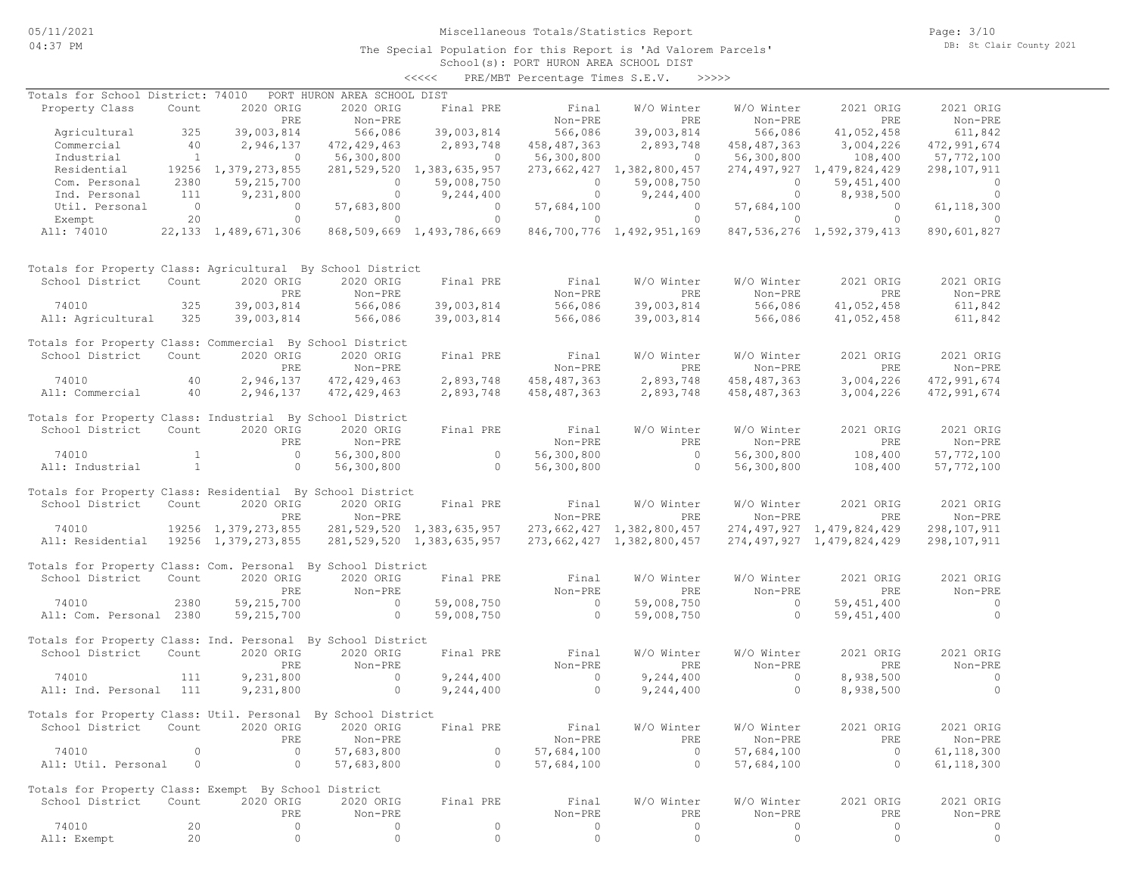### Miscellaneous Totals/Statistics Report

The Special Population for this Report is 'Ad Valorem Parcels'

Page: 3/10 DB: St Clair County 2021

### School(s): PORT HURON AREA SCHOOL DIST <<<<< PRE/MBT Percentage Times S.E.V. >>>>>

| Totals for School District: 74010                            |                |                          | PORT HURON AREA SCHOOL DIST |                                |                |                           |                |                                |                          |
|--------------------------------------------------------------|----------------|--------------------------|-----------------------------|--------------------------------|----------------|---------------------------|----------------|--------------------------------|--------------------------|
| Property Class                                               | Count          | 2020 ORIG                | 2020 ORIG                   | Final PRE                      | Final          | W/O Winter                | W/O Winter     | 2021 ORIG                      | 2021 ORIG                |
|                                                              |                | PRE                      | Non-PRE                     |                                | Non-PRE        | PRE                       | Non-PRE        | PRE                            | Non-PRE                  |
| Agricultural                                                 | 325            | 39,003,814               | 566,086                     | 39,003,814                     | 566,086        | 39,003,814                | 566,086        | 41,052,458                     | 611,842                  |
| Commercial                                                   | 40             | 2,946,137                | 472,429,463                 | 2,893,748                      | 458,487,363    | 2,893,748                 | 458, 487, 363  | 3,004,226                      | 472,991,674              |
| Industrial                                                   | $\sim$ 1       | $\overline{0}$           | 56,300,800                  | $\sim$ 0                       | 56,300,800     | $\sim$ 0                  | 56,300,800     | 108,400                        | 57,772,100               |
| Residential                                                  |                | 19256 1,379,273,855      |                             | 281, 529, 520 1, 383, 635, 957 |                | 273,662,427 1,382,800,457 |                | 274, 497, 927 1, 479, 824, 429 | 298,107,911              |
| Com. Personal                                                | 2380           | 59,215,700               | $\overline{0}$              | 59,008,750                     | $\overline{0}$ | 59,008,750                | $\circ$        | 59,451,400                     | $\overline{\phantom{0}}$ |
| Ind. Personal                                                | 111            | 9,231,800                | $\overline{0}$              | 9,244,400                      | $\overline{0}$ | 9,244,400                 | $\overline{0}$ | 8,938,500                      | $\overline{0}$           |
| Util. Personal                                               | $\overline{0}$ | $\overline{0}$           | 57,683,800                  | $\overline{0}$                 | 57,684,100     | $\overline{0}$            | 57,684,100     | $\overline{0}$                 | 61, 118, 300             |
| Exempt                                                       | 20             | $\circ$                  | $\overline{0}$              | $\overline{0}$                 | $\circ$        | $0 \qquad \qquad$         | $\circ$        | $\overline{0}$                 | $\overline{0}$           |
| All: 74010                                                   |                | 22, 133 1, 489, 671, 306 |                             | 868,509,669 1,493,786,669      |                | 846,700,776 1,492,951,169 |                | 847, 536, 276 1, 592, 379, 413 | 890,601,827              |
| Totals for Property Class: Agricultural By School District   |                |                          |                             |                                |                |                           |                |                                |                          |
| School District                                              | Count          | 2020 ORIG                | 2020 ORIG                   | Final PRE                      | Final          | W/O Winter                | W/O Winter     | 2021 ORIG                      | 2021 ORIG                |
|                                                              |                | PRE                      | Non-PRE                     |                                | Non-PRE        | PRE                       | Non-PRE        | PRE                            | Non-PRE                  |
| 74010                                                        | 325            | 39,003,814               | 566,086                     | 39,003,814                     | 566,086        | 39,003,814                | 566,086        | 41,052,458                     | 611,842                  |
| All: Agricultural                                            | 325            | 39,003,814               | 566,086                     | 39,003,814                     | 566,086        | 39,003,814                | 566,086        | 41,052,458                     | 611,842                  |
| Totals for Property Class: Commercial By School District     |                |                          |                             |                                |                |                           |                |                                |                          |
| School District                                              | Count          | 2020 ORIG                | 2020 ORIG                   | Final PRE                      | Final          | W/O Winter                | W/O Winter     | 2021 ORIG                      | 2021 ORIG                |
|                                                              |                | PRE                      | Non-PRE                     |                                | Non-PRE        | PRE                       | Non-PRE        | PRE                            | Non-PRE                  |
| 74010                                                        | 40             | 2,946,137                | 472, 429, 463               | 2,893,748                      | 458, 487, 363  | 2,893,748                 | 458, 487, 363  | 3,004,226                      | 472,991,674              |
| All: Commercial                                              | 40             | 2,946,137                | 472, 429, 463               | 2,893,748                      | 458,487,363    | 2,893,748                 | 458,487,363    | 3,004,226                      | 472,991,674              |
| Totals for Property Class: Industrial By School District     |                |                          |                             |                                |                |                           |                |                                |                          |
| School District                                              | Count          | 2020 ORIG                | 2020 ORIG                   | Final PRE                      | Final          | W/O Winter                | W/O Winter     | 2021 ORIG                      | 2021 ORIG                |
|                                                              |                | PRE                      | Non-PRE                     |                                | Non-PRE        | PRE                       | Non-PRE        | PRE                            | Non-PRE                  |
| 74010                                                        | $\mathbf{1}$   | $\overline{0}$           | 56,300,800                  | $\circ$                        | 56,300,800     | $\overline{0}$            | 56,300,800     | 108,400                        | 57,772,100               |
| All: Industrial                                              | $\mathbf{1}$   | $\circ$                  | 56,300,800                  | $\sim$ 0                       | 56,300,800     | $\sim$ 0                  | 56,300,800     | 108,400                        | 57,772,100               |
| Totals for Property Class: Residential By School District    |                |                          |                             |                                |                |                           |                |                                |                          |
| School District                                              | Count          | 2020 ORIG                | 2020 ORIG                   | Final PRE                      | Final          | W/O Winter                | W/O Winter     | 2021 ORIG                      | 2021 ORIG                |
|                                                              |                | PRE                      | Non-PRE                     |                                | Non-PRE        | PRE                       | Non-PRE        | PRE                            | Non-PRE                  |
| 74010                                                        |                | 19256 1,379,273,855      |                             | 281,529,520 1,383,635,957      |                | 273,662,427 1,382,800,457 |                | 274,497,927 1,479,824,429      | 298,107,911              |
| All: Residential                                             |                | 19256 1,379,273,855      |                             | 281,529,520 1,383,635,957      |                | 273,662,427 1,382,800,457 |                | 274, 497, 927 1, 479, 824, 429 | 298,107,911              |
| Totals for Property Class: Com. Personal By School District  |                |                          |                             |                                |                |                           |                |                                |                          |
| School District                                              | Count          | 2020 ORIG                | 2020 ORIG                   | Final PRE                      | Final          | W/O Winter                | W/O Winter     | 2021 ORIG                      | 2021 ORIG                |
|                                                              |                | PRE                      | Non-PRE                     |                                | Non-PRE        | PRE                       | Non-PRE        | PRE                            | Non-PRE                  |
| 74010                                                        | 2380           | 59, 215, 700             | $\sim$ 0                    | 59,008,750                     | $\overline{0}$ | 59,008,750                | $\sim$ 0       | 59, 451, 400                   | $\sim$ 0                 |
| All: Com. Personal 2380                                      |                | 59,215,700               | $\overline{0}$              | 59,008,750                     | $\overline{0}$ | 59,008,750                | $\overline{0}$ | 59, 451, 400                   | $\overline{0}$           |
| Totals for Property Class: Ind. Personal By School District  |                |                          |                             |                                |                |                           |                |                                |                          |
| School District                                              | Count          | 2020 ORIG                | 2020 ORIG                   | Final PRE                      | Final          | W/O Winter                | W/O Winter     | 2021 ORIG                      | 2021 ORIG                |
|                                                              |                | PRE                      | Non-PRE                     |                                | Non-PRE        | PRE                       | Non-PRE        | PRE                            | Non-PRE                  |
| 74010                                                        | 111            | 9,231,800                | $\sim$ 0                    | 9,244,400                      | $\sim$ 0       | 9,244,400                 | $\sim$ 0       | 8,938,500                      | $\overline{0}$           |
| All: Ind. Personal                                           | 111            | 9,231,800                | $\circ$                     | 9,244,400                      | $\sim$ 0       | 9,244,400                 | $\circ$        | 8,938,500                      | $\circ$                  |
| Totals for Property Class: Util. Personal By School District |                |                          |                             |                                |                |                           |                |                                |                          |
| School District Count 2020 ORIG 2020 ORIG Final PRE          |                |                          |                             |                                | Final          | W/O Winter                | W/O Winter     | 2021 ORIG                      | 2021 ORIG                |
|                                                              |                | PRE                      | Non-PRE                     |                                | Non-PRE        | PRE                       | Non-PRE        | PRE                            | Non-PRE                  |
| 74010                                                        | $\circ$        | $\circ$                  | 57,683,800                  | $\circ$                        | 57,684,100     | $\circ$                   | 57,684,100     | $\overline{0}$                 | 61, 118, 300             |
| All: Util. Personal                                          | $\circ$        | $\circ$                  | 57,683,800                  | $\circ$                        | 57,684,100     | $\circ$                   | 57,684,100     | $\circ$                        | 61, 118, 300             |
|                                                              |                |                          |                             |                                |                |                           |                |                                |                          |
| Totals for Property Class: Exempt By School District         |                |                          |                             |                                |                |                           |                |                                |                          |
| School District                                              | Count          | 2020 ORIG                | 2020 ORIG                   | Final PRE                      | Final          | W/O Winter                | W/O Winter     | 2021 ORIG                      | 2021 ORIG                |
|                                                              |                | PRE                      | Non-PRE                     |                                | Non-PRE        | PRE                       | Non-PRE        | PRE                            | Non-PRE                  |
| 74010                                                        | 20             | $\circ$                  | 0                           | $\circ$                        | $\circ$        | $\circ$                   | $\circ$        | $\circ$                        | 0                        |
| All: Exempt                                                  | 20             | $\circ$                  | $\circ$                     | $\circ$                        | $\circ$        | $\circ$                   | $\circ$        | 0                              | $\circ$                  |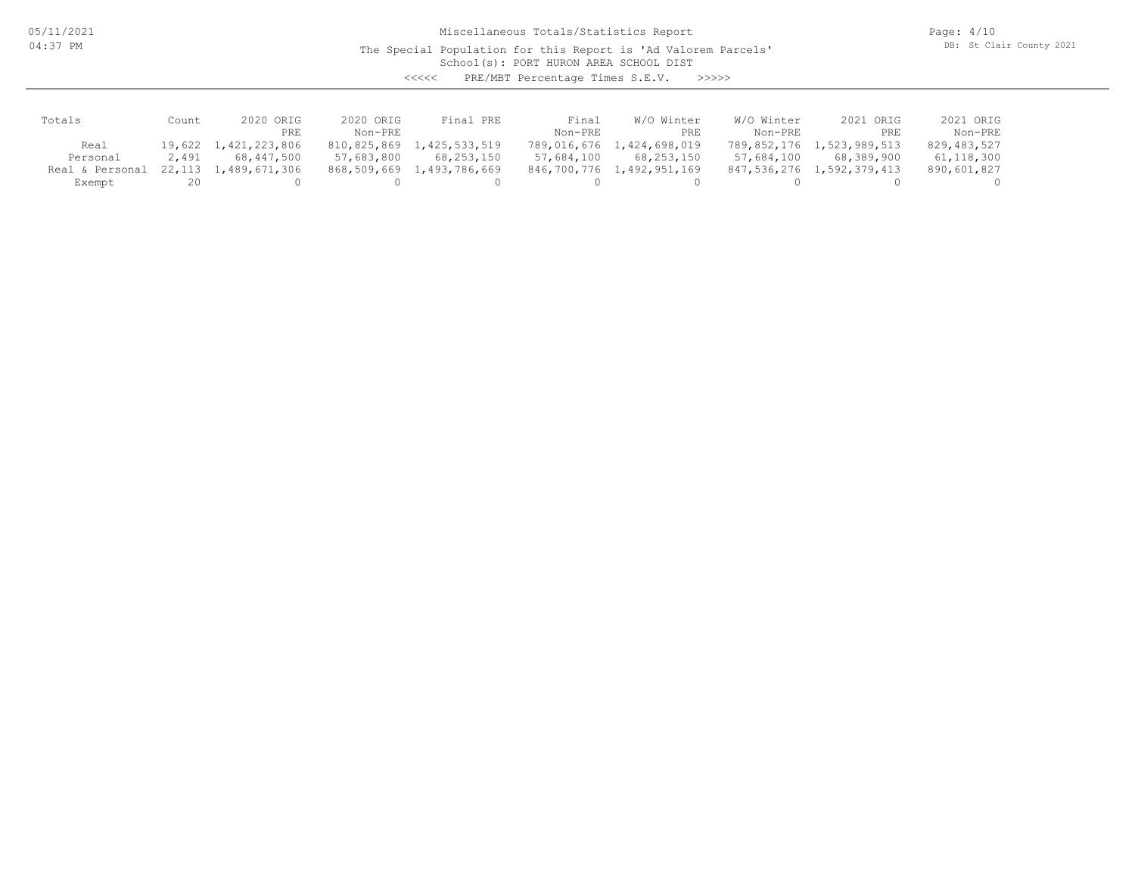05/11/2021 04:37 PM

Miscellaneous Totals/Statistics Report

The Special Population for this Report is 'Ad Valorem Parcels'

Page: 4/10 DB: St Clair County 2021

School(s): PORT HURON AREA SCHOOL DIST

<<<<< PRE/MBT Percentage Times S.E.V. >>>>>

| Totals          | Count    | 2020 ORIG     | 2020 ORIG  | Final PRE                 | Final       | W/O Winter    | W/O Winter  | 2021 ORIG     | 2021 ORIG   |
|-----------------|----------|---------------|------------|---------------------------|-------------|---------------|-------------|---------------|-------------|
|                 |          | PRE           | $Non-PRF$  |                           | Non-PRE     | PRE           | Non-PRE     | PRE           | Non-PRE     |
| Real            | 19,622 1 | 1,421,223,806 |            | 810,825,869 1,425,533,519 | 789,016,676 | 1,424,698,019 | 789,852,176 | 1,523,989,513 | 829,483,527 |
| Personal        | 2,491    | 68,447,500    | 57,683,800 | 68,253,150                | 57,684,100  | 68,253,150    | 57,684,100  | 68,389,900    | 61,118,300  |
| Real & Personal | 22,113   | 1,489,671,306 |            | 868,509,669 1,493,786,669 | 846,700,776 | 1,492,951,169 | 847,536,276 | 1,592,379,413 | 890,601,827 |
| Exempt          | 20       |               |            |                           |             |               |             |               |             |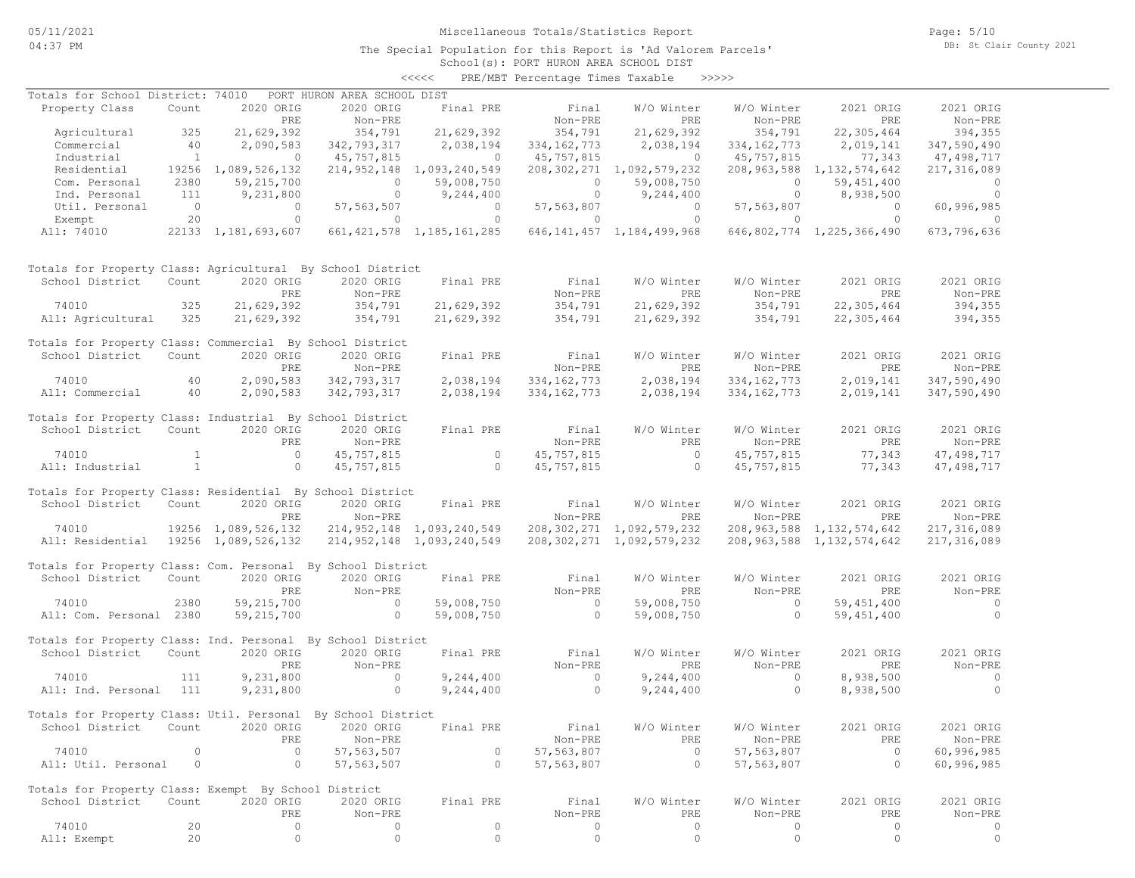### Miscellaneous Totals/Statistics Report

Page: 5/10 DB: St Clair County 2021

### School(s): PORT HURON AREA SCHOOL DIST <<<<< PRE/MBT Percentage Times Taxable >>>>>

| Totals for School District: 74010                            |              |                     | PORT HURON AREA SCHOOL DIST |                                   |                |                                |                       |                                |                |
|--------------------------------------------------------------|--------------|---------------------|-----------------------------|-----------------------------------|----------------|--------------------------------|-----------------------|--------------------------------|----------------|
| Property Class                                               | Count        | 2020 ORIG           | 2020 ORIG                   | Final PRE                         | Final          | W/O Winter                     | W/O Winter            | 2021 ORIG                      | 2021 ORIG      |
|                                                              |              | PRE                 | Non-PRE                     |                                   | Non-PRE        | <b>PRE</b>                     | Non-PRE               | PRE                            | Non-PRE        |
|                                                              |              |                     | 354,791                     | 21,629,392                        |                |                                |                       |                                |                |
| Agricultural                                                 | 325          | 21,629,392          |                             |                                   | 354,791        | 21,629,392                     | 354,791               | 22,305,464                     | 394,355        |
| Commercial                                                   | 40           | 2,090,583           | 342,793,317                 | 2,038,194                         | 334, 162, 773  | 2,038,194                      | 334, 162, 773         | 2,019,141                      | 347,590,490    |
| Industrial                                                   | $\sim$ 1     | $\overline{0}$      | 45,757,815                  | $\sim$ 0                          | 45,757,815     | $\sim$ 0                       | 45,757,815            | 77,343                         | 47,498,717     |
| Residential                                                  |              | 19256 1,089,526,132 |                             | 214, 952, 148 1, 093, 240, 549    |                | 208, 302, 271 1, 092, 579, 232 |                       | 208, 963, 588 1, 132, 574, 642 | 217,316,089    |
| Com. Personal                                                | 2380         | 59,215,700          | $\circ$                     | 59,008,750                        | $\overline{a}$ | 59,008,750                     | $\circ$               | 59,451,400                     | $\overline{0}$ |
| Ind. Personal                                                | 111          | 9,231,800           | $\overline{0}$              | 9,244,400                         |                | 9,244,400                      | $\overline{0}$        | 8,938,500                      | $\circ$        |
| Util. Personal                                               | $\sim$ 0     | $\overline{0}$      | 57, 563, 507                | $\overline{0}$                    | 57, 563, 807   | $\overline{0}$                 | 57, 563, 807          | $\overline{0}$                 | 60,996,985     |
| Exempt                                                       | 20           | $\circ$             | $\overline{0}$              | $\overline{0}$                    | $\circ$        | $\overline{0}$                 | $\Omega$              | $\overline{0}$                 | $\Omega$       |
| All: 74010                                                   |              | 22133 1,181,693,607 |                             | 661, 421, 578 1, 185, 161, 285    |                | 646, 141, 457 1, 184, 499, 968 |                       | 646,802,774 1,225,366,490      | 673,796,636    |
| Totals for Property Class: Agricultural By School District   |              |                     |                             |                                   |                |                                |                       |                                |                |
| School District                                              | Count        | 2020 ORIG           | 2020 ORIG                   | Final PRE                         | Final          | W/O Winter                     | W/O Winter            | 2021 ORIG                      | 2021 ORIG      |
|                                                              |              | PRE                 | Non-PRE                     |                                   | Non-PRE        | PRE                            | Non-PRE               | PRE                            | Non-PRE        |
| 74010                                                        | 325          | 21,629,392          | 354,791                     | 21,629,392                        | 354,791        | 21,629,392                     | 354,791               | 22,305,464                     | 394,355        |
|                                                              |              |                     |                             |                                   |                |                                |                       |                                |                |
| All: Agricultural                                            | 325          | 21,629,392          | 354,791                     | 21,629,392                        | 354,791        | 21,629,392                     | 354,791               | 22,305,464                     | 394,355        |
| Totals for Property Class: Commercial By School District     |              |                     |                             |                                   |                |                                |                       |                                |                |
| School District                                              | Count        | 2020 ORIG           | 2020 ORIG                   | Final PRE                         | Final          | W/O Winter                     | W/O Winter            | 2021 ORIG                      | 2021 ORIG      |
|                                                              |              | PRE                 | Non-PRE                     |                                   | Non-PRE        | PRE                            | Non-PRE               | PRE                            | Non-PRE        |
| 74010                                                        | 40           | 2,090,583           | 342,793,317                 | 2,038,194                         | 334, 162, 773  | 2,038,194                      | 334, 162, 773         | 2,019,141                      | 347,590,490    |
| All: Commercial                                              | 40           | 2,090,583           | 342,793,317                 | 2,038,194                         | 334, 162, 773  | 2,038,194                      | 334, 162, 773         | 2,019,141                      | 347,590,490    |
|                                                              |              |                     |                             |                                   |                |                                |                       |                                |                |
| Totals for Property Class: Industrial By School District     |              |                     |                             |                                   |                |                                |                       |                                |                |
| School District                                              | Count        | 2020 ORIG           | 2020 ORIG                   | Final PRE                         | Final          | W/O Winter                     | W/O Winter            | 2021 ORIG                      | 2021 ORIG      |
|                                                              |              | PRE                 | Non-PRE                     |                                   | Non-PRE        | PRE                            | Non-PRE               | PRE                            | Non-PRE        |
| 74010                                                        | $\mathbf{1}$ | $\overline{0}$      | 45,757,815                  | $\sim$ 0 $\sim$ 0 $\sim$ 0 $\sim$ | 45,757,815     | $\overline{0}$                 | 45,757,815            | 77,343                         | 47, 498, 717   |
| All: Industrial                                              | $\mathbf{1}$ | $\circ$             | 45,757,815                  | $\sim$ 0                          | 45,757,815     | $\overline{0}$                 | 45,757,815            | 77,343                         |                |
|                                                              |              |                     |                             |                                   |                |                                |                       |                                | 47,498,717     |
| Totals for Property Class: Residential By School District    |              |                     |                             |                                   |                |                                |                       |                                |                |
| School District                                              | Count        | 2020 ORIG           | 2020 ORIG                   | Final PRE                         | Final          | W/O Winter                     | W/O Winter            | 2021 ORIG                      | 2021 ORIG      |
|                                                              |              | PRE                 | Non-PRE                     |                                   | Non-PRE        | PRE                            | Non-PRE               | PRE                            | Non-PRE        |
| 74010                                                        |              | 19256 1,089,526,132 |                             | 214,952,148 1,093,240,549         |                | 208, 302, 271 1, 092, 579, 232 |                       | 208, 963, 588 1, 132, 574, 642 | 217,316,089    |
|                                                              |              |                     |                             |                                   |                |                                |                       |                                |                |
| All: Residential 19256 1,089,526,132                         |              |                     |                             | 214,952,148 1,093,240,549         |                | 208, 302, 271 1, 092, 579, 232 |                       | 208, 963, 588 1, 132, 574, 642 | 217,316,089    |
| Totals for Property Class: Com. Personal By School District  |              |                     |                             |                                   |                |                                |                       |                                |                |
| School District                                              | Count        | 2020 ORIG           | 2020 ORIG                   | Final PRE                         | Final          | W/O Winter                     | W/O Winter            | 2021 ORIG                      | 2021 ORIG      |
|                                                              |              | PRE                 | Non-PRE                     |                                   | Non-PRE        | PRE                            | Non-PRE               | PRE                            | Non-PRE        |
|                                                              |              |                     |                             |                                   |                |                                |                       |                                |                |
| 74010                                                        | 2380         | 59, 215, 700        | $\sim$ 0                    | 59,008,750                        | $\overline{0}$ | 59,008,750                     | $\sim$ 0              | 59, 451, 400                   | $\sim$ 0       |
| All: Com. Personal 2380                                      |              | 59,215,700          | $\overline{0}$              | 59,008,750                        | $\overline{0}$ | 59,008,750                     | $\overline{0}$        | 59, 451, 400                   | $\overline{0}$ |
| Totals for Property Class: Ind. Personal By School District  |              |                     |                             |                                   |                |                                |                       |                                |                |
| School District                                              | Count        | 2020 ORIG           | 2020 ORIG                   | Final PRE                         | Final          | W/O Winter                     | W/O Winter            | 2021 ORIG                      | 2021 ORIG      |
|                                                              |              |                     |                             |                                   |                |                                |                       |                                |                |
|                                                              |              | PRE                 | Non-PRE                     |                                   | Non-PRE        | PRE                            | Non-PRE               | PRE                            | Non-PRE        |
| 74010                                                        | 111          | 9,231,800           | $\overline{0}$              | 9,244,400                         | $\sim$ 0       | 9,244,400                      | $\overline{0}$        | 8,938,500                      | $\sim$ 0       |
| All: Ind. Personal                                           | 111          | 9,231,800           | $\circ$                     | 9,244,400                         | $\sim$ 0       | 9,244,400                      | $\circ$               | 8,938,500                      | $\Omega$       |
|                                                              |              |                     |                             |                                   |                |                                |                       |                                |                |
| Totals for Property Class: Util. Personal By School District |              |                     |                             |                                   |                |                                |                       |                                |                |
| School District Count 2020 ORIG 2020 ORIG Final PRE          |              |                     |                             |                                   | Final          |                                | W/O Winter W/O Winter | 2021 ORIG                      | 2021 ORIG      |
|                                                              |              | PRE                 | Non-PRE                     |                                   | Non-PRE        | PRE                            | Non-PRE               | PRE                            | Non-PRE        |
| 74010                                                        | $\circ$      | $\circ$             | 57, 563, 507                | $\circ$                           | 57,563,807     | $\circ$                        | 57, 563, 807          | $\circ$                        | 60,996,985     |
| All: Util. Personal                                          | $\circ$      | $\circ$             | 57, 563, 507                | $\circ$                           | 57,563,807     | $\circ$                        | 57,563,807            | $\circ$                        | 60,996,985     |
|                                                              |              |                     |                             |                                   |                |                                |                       |                                |                |
| Totals for Property Class: Exempt By School District         |              |                     |                             |                                   |                |                                |                       |                                |                |
| School District                                              | Count        | 2020 ORIG           | 2020 ORIG                   | Final PRE                         | Final          | W/O Winter                     | W/O Winter            | 2021 ORIG                      | 2021 ORIG      |
|                                                              |              | PRE                 | Non-PRE                     |                                   | Non-PRE        | PRE                            | Non-PRE               | PRE                            | Non-PRE        |
| 74010                                                        | 20           | $\circ$             | 0                           | $\circ$                           | $\circ$        | $\circ$                        | 0                     | $\circ$                        | 0              |
| All: Exempt                                                  | 20           | $\circ$             | $\circ$                     | $\circ$                           | $\circ$        | $\circ$                        | $\circ$               | $\circ$                        | $\circ$        |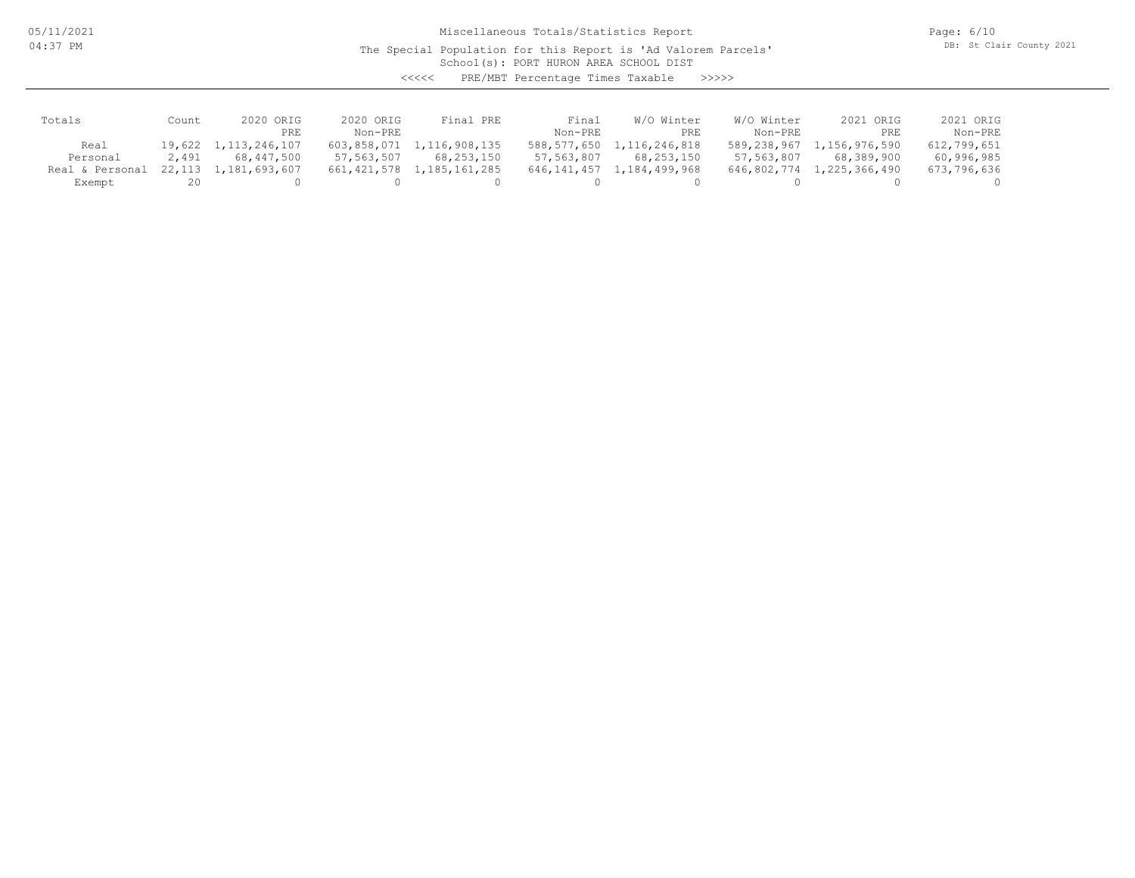05/11/2021 04:37 PM

Miscellaneous Totals/Statistics Report

The Special Population for this Report is 'Ad Valorem Parcels'

Page: 6/10 DB: St Clair County 2021

School(s): PORT HURON AREA SCHOOL DIST

<<<<< PRE/MBT Percentage Times Taxable >>>>>

| Totals          | Count | 2020 ORIG            | 2020 ORIG   | Final PRE                 | Final       | W/O Winter    | W/O Winter  | 2021 ORIG     | 2021 ORIG   |
|-----------------|-------|----------------------|-------------|---------------------------|-------------|---------------|-------------|---------------|-------------|
|                 |       | PRE                  | $Non-PRF$   |                           | Non-PRE     | PRE           | Non-PRE     | PRE           | Non-PRE     |
| Real            |       | 19,622 1,113,246,107 |             | 603,858,071 1,116,908,135 | 588,577,650 | 1,116,246,818 | 589,238,967 | 1,156,976,590 | 612,799,651 |
| Personal        | 2,491 | 68,447,500           | 57,563,507  | 68,253,150                | 57,563,807  | 68,253,150    | 57,563,807  | 68,389,900    | 60,996,985  |
| Real & Personal |       | 22,113 1,181,693,607 | 661,421,578 | 1,185,161,285             | 646,141,457 | 1,184,499,968 | 646,802,774 | 1,225,366,490 | 673,796,636 |
| Exempt          | 20    |                      |             |                           |             |               |             |               |             |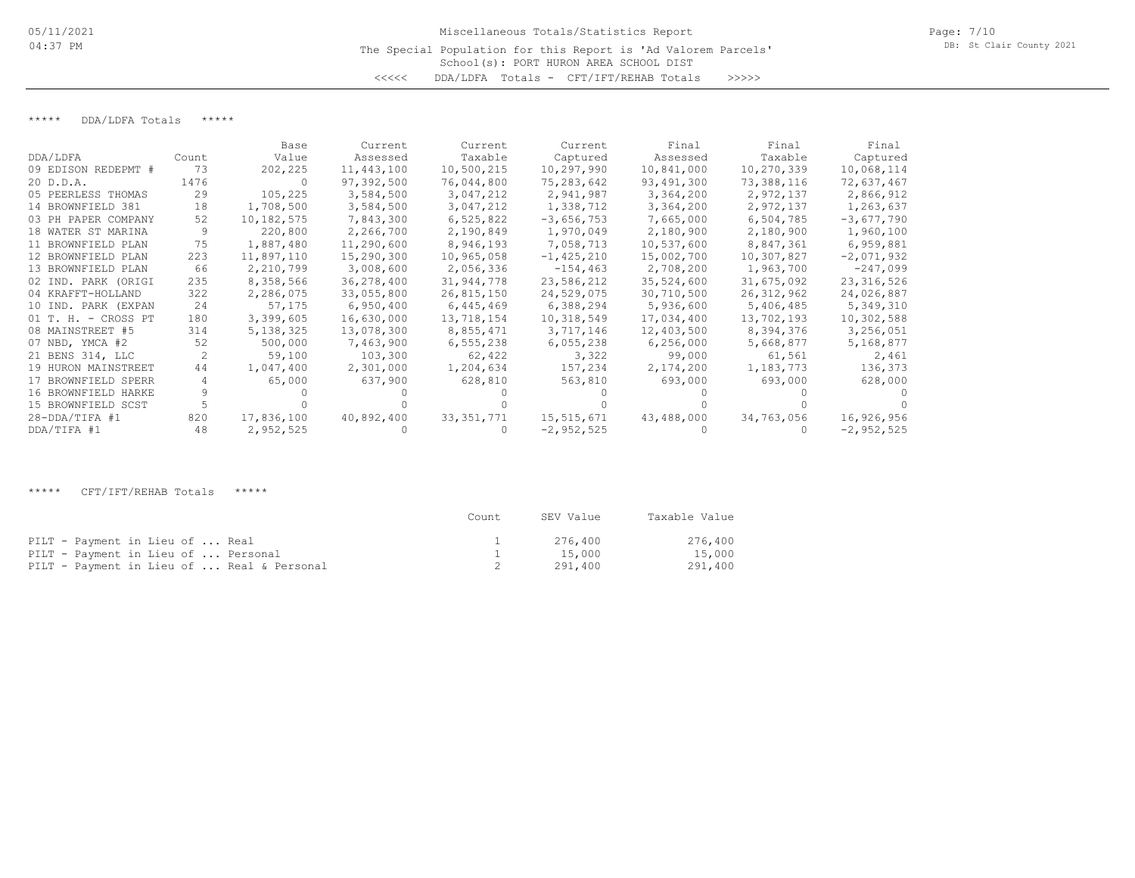## School(s): PORT HURON AREA SCHOOL DIST Miscellaneous Totals/Statistics Report The Special Population for this Report is 'Ad Valorem Parcels' <<<<< DDA/LDFA Totals - CFT/IFT/REHAB Totals >>>>>

### \*\*\*\*\* DDA/LDFA Totals \*\*\*\*\*

|                     |       | Base       | Current    | Current      | Current        | Final      | Final        | Final        |
|---------------------|-------|------------|------------|--------------|----------------|------------|--------------|--------------|
| DDA/LDFA            | Count | Value      | Assessed   | Taxable      | Captured       | Assessed   | Taxable      | Captured     |
| 09 EDISON REDEPMT # | 73    | 202,225    | 11,443,100 | 10,500,215   | 10,297,990     | 10,841,000 | 10,270,339   | 10,068,114   |
| 20 D.D.A.           | 1476  | - 0        | 97,392,500 | 76,044,800   | 75,283,642     | 93,491,300 | 73,388,116   | 72,637,467   |
| 05 PEERLESS THOMAS  | 29    | 105,225    | 3,584,500  | 3,047,212    | 2,941,987      | 3,364,200  | 2,972,137    | 2,866,912    |
| 14 BROWNFIELD 381   | 18    | 1,708,500  | 3,584,500  | 3,047,212    | 1,338,712      | 3,364,200  | 2,972,137    | 1,263,637    |
| 03 PH PAPER COMPANY | 52.   | 10,182,575 | 7,843,300  | 6,525,822    | $-3,656,753$   | 7,665,000  | 6,504,785    | $-3,677,790$ |
| 18 WATER ST MARINA  |       | 220,800    | 2,266,700  | 2,190,849    | 1,970,049      | 2,180,900  | 2,180,900    | 1,960,100    |
| 11 BROWNFIELD PLAN  | 75    | 1,887,480  | 11,290,600 | 8,946,193    | 7,058,713      | 10,537,600 | 8,847,361    | 6,959,881    |
| 12 BROWNFIELD PLAN  | 223   | 11,897,110 | 15,290,300 | 10,965,058   | $-1, 425, 210$ | 15,002,700 | 10,307,827   | $-2,071,932$ |
| 13 BROWNFIELD PLAN  | 66    | 2,210,799  | 3,008,600  | 2,056,336    | $-154, 463$    | 2,708,200  | 1,963,700    | $-247,099$   |
| 02 IND. PARK (ORIGI | 235   | 8,358,566  | 36,278,400 | 31,944,778   | 23,586,212     | 35,524,600 | 31,675,092   | 23, 316, 526 |
| 04 KRAFFT-HOLLAND   | 322   | 2,286,075  | 33,055,800 | 26,815,150   | 24,529,075     | 30,710,500 | 26, 312, 962 | 24,026,887   |
| 10 IND. PARK (EXPAN | 24    | 57,175     | 6,950,400  | 6,445,469    | 6,388,294      | 5,936,600  | 5,406,485    | 5,349,310    |
| 01 T. H. - CROSS PT | 180   | 3,399,605  | 16,630,000 | 13,718,154   | 10,318,549     | 17,034,400 | 13,702,193   | 10,302,588   |
| 08 MAINSTREET #5    | 314   | 5,138,325  | 13,078,300 | 8,855,471    | 3,717,146      | 12,403,500 | 8,394,376    | 3,256,051    |
| 07 NBD, YMCA #2     | 52    | 500,000    | 7,463,900  | 6,555,238    | 6,055,238      | 6,256,000  | 5,668,877    | 5,168,877    |
| 21 BENS 314, LLC    |       | 59,100     | 103,300    | 62,422       | 3,322          | 99,000     | 61,561       | 2,461        |
| 19 HURON MAINSTREET | 44    | 1,047,400  | 2,301,000  | 1,204,634    | 157,234        | 2,174,200  | 1,183,773    | 136,373      |
| 17 BROWNFIELD SPERR |       | 65,000     | 637,900    | 628,810      | 563,810        | 693,000    | 693,000      | 628,000      |
| 16 BROWNFIELD HARKE |       |            |            |              |                |            |              |              |
| 15 BROWNFIELD SCST  |       |            |            |              |                |            |              |              |
| $28 - DDA/TIFA$ #1  | 820   | 17,836,100 | 40,892,400 | 33, 351, 771 | 15,515,671     | 43,488,000 | 34,763,056   | 16,926,956   |
| DDA/TIFA #1         | 48    | 2,952,525  |            |              | $-2,952,525$   |            |              | $-2,952,525$ |

\*\*\*\*\* CFT/IFT/REHAB Totals \*\*\*\*\*

|                                            | Count | SEV Value | Taxable Value |
|--------------------------------------------|-------|-----------|---------------|
| PILT - Payment in Lieu of  Real            |       | 276.400   | 276,400       |
| PILT - Payment in Lieu of  Personal        |       | 15,000    | 15,000        |
| PILT - Payment in Lieu of  Real & Personal |       | 291,400   | 291,400       |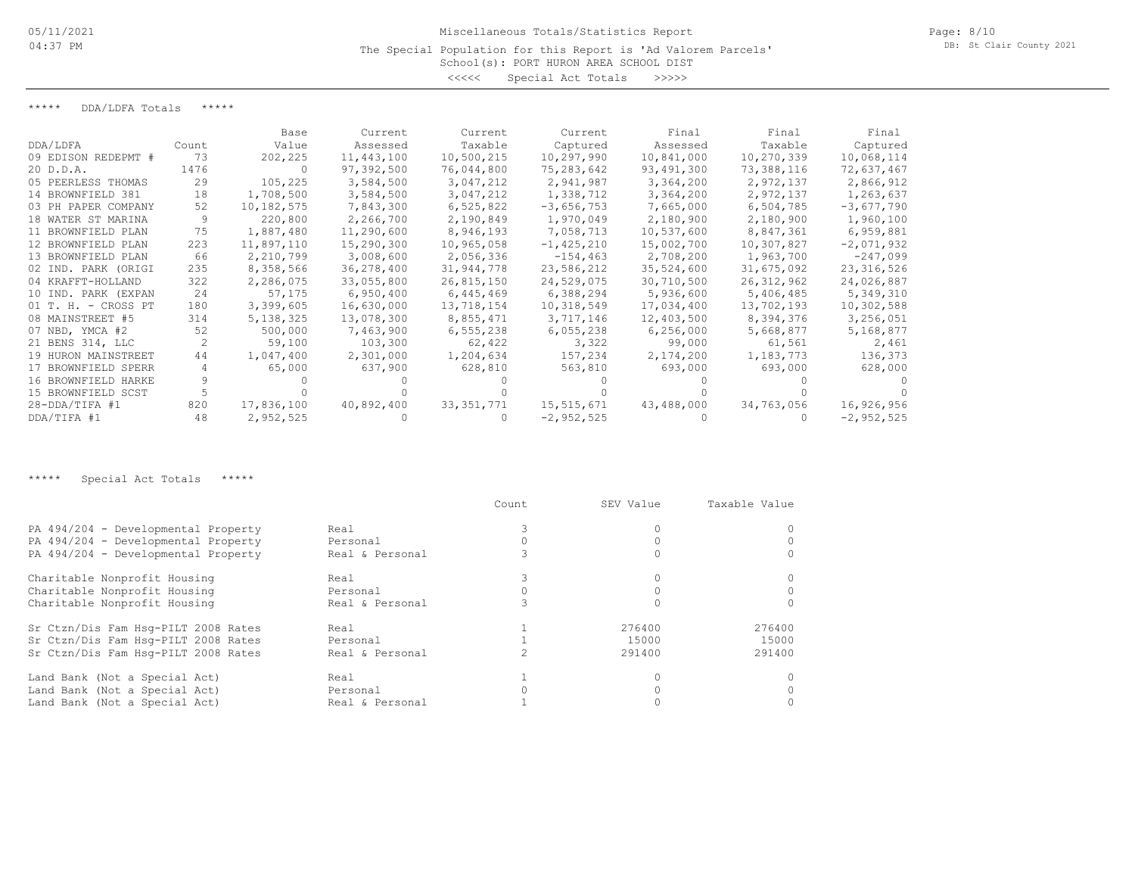### The Special Population for this Report is 'Ad Valorem Parcels'

School(s): PORT HURON AREA SCHOOL DIST <<<<< Special Act Totals >>>>>

\*\*\*\*\* DDA/LDFA Totals \*\*\*\*\*

|                     |       | Base       | Current    | Current      | Current      | Final      | Final        | Final        |
|---------------------|-------|------------|------------|--------------|--------------|------------|--------------|--------------|
| DDA/LDFA            | Count | Value      | Assessed   | Taxable      | Captured     | Assessed   | Taxable      | Captured     |
| 09 EDISON REDEPMT # | 73    | 202,225    | 11,443,100 | 10,500,215   | 10,297,990   | 10,841,000 | 10,270,339   | 10,068,114   |
| 20 D.D.A.           | 1476  |            | 97,392,500 | 76,044,800   | 75,283,642   | 93,491,300 | 73,388,116   | 72,637,467   |
| 05 PEERLESS THOMAS  | 29    | 105,225    | 3,584,500  | 3,047,212    | 2,941,987    | 3,364,200  | 2,972,137    | 2,866,912    |
| 14 BROWNFIELD 381   | 18    | 1,708,500  | 3,584,500  | 3,047,212    | 1,338,712    | 3,364,200  | 2,972,137    | 1,263,637    |
| 03 PH PAPER COMPANY | 52.   | 10,182,575 | 7,843,300  | 6,525,822    | $-3,656,753$ | 7,665,000  | 6,504,785    | $-3,677,790$ |
| 18 WATER ST MARINA  |       | 220,800    | 2,266,700  | 2,190,849    | 1,970,049    | 2,180,900  | 2,180,900    | 1,960,100    |
| 11 BROWNFIELD PLAN  | 75    | 1,887,480  | 11,290,600 | 8,946,193    | 7,058,713    | 10,537,600 | 8,847,361    | 6,959,881    |
| 12 BROWNFIELD PLAN  | 223   | 11,897,110 | 15,290,300 | 10,965,058   | $-1,425,210$ | 15,002,700 | 10,307,827   | $-2,071,932$ |
| 13 BROWNFIELD PLAN  | 66    | 2,210,799  | 3,008,600  | 2,056,336    | $-154, 463$  | 2,708,200  | 1,963,700    | $-247,099$   |
| 02 IND. PARK (ORIGI | 235   | 8,358,566  | 36,278,400 | 31,944,778   | 23,586,212   | 35,524,600 | 31,675,092   | 23, 316, 526 |
| 04 KRAFFT-HOLLAND   | 322   | 2,286,075  | 33,055,800 | 26,815,150   | 24,529,075   | 30,710,500 | 26, 312, 962 | 24,026,887   |
| 10 IND. PARK (EXPAN | 24    | 57,175     | 6,950,400  | 6,445,469    | 6,388,294    | 5,936,600  | 5,406,485    | 5,349,310    |
| 01 T. H. - CROSS PT | 180   | 3,399,605  | 16,630,000 | 13,718,154   | 10,318,549   | 17,034,400 | 13,702,193   | 10,302,588   |
| 08 MAINSTREET #5    | 314   | 5,138,325  | 13,078,300 | 8,855,471    | 3,717,146    | 12,403,500 | 8,394,376    | 3,256,051    |
| 07 NBD, YMCA #2     | 52    | 500,000    | 7,463,900  | 6,555,238    | 6,055,238    | 6,256,000  | 5,668,877    | 5,168,877    |
| 21 BENS 314, LLC    |       | 59,100     | 103,300    | 62,422       | 3,322        | 99,000     | 61,561       | 2,461        |
| 19 HURON MAINSTREET | 44    | 1,047,400  | 2,301,000  | 1,204,634    | 157,234      | 2,174,200  | 1,183,773    | 136,373      |
| 17 BROWNFIELD SPERR |       | 65,000     | 637,900    | 628,810      | 563,810      | 693,000    | 693,000      | 628,000      |
| 16 BROWNFIELD HARKE |       |            |            |              |              |            |              |              |
| 15 BROWNFIELD SCST  |       |            |            |              |              |            |              |              |
| $28 - DDA/TIFA$ #1  | 820   | 17,836,100 | 40,892,400 | 33, 351, 771 | 15,515,671   | 43,488,000 | 34,763,056   | 16,926,956   |
| DDA/TIFA #1         | 48    | 2,952,525  |            |              | $-2,952,525$ |            |              | $-2,952,525$ |

\*\*\*\*\* Special Act Totals \*\*\*\*\*

|                                     |                 | Count | SEV Value | Taxable Value |
|-------------------------------------|-----------------|-------|-----------|---------------|
| PA 494/204 - Developmental Property | Real            |       |           |               |
| PA 494/204 - Developmental Property | Personal        |       |           |               |
| PA 494/204 - Developmental Property | Real & Personal |       |           |               |
| Charitable Nonprofit Housing        | Real            |       |           |               |
| Charitable Nonprofit Housing        | Personal        |       |           |               |
| Charitable Nonprofit Housing        | Real & Personal |       |           |               |
| Sr Ctzn/Dis Fam Hsq-PILT 2008 Rates | Real            |       | 276400    | 276400        |
| Sr Ctzn/Dis Fam Hsq-PILT 2008 Rates | Personal        |       | 15000     | 15000         |
| Sr Ctzn/Dis Fam Hsq-PILT 2008 Rates | Real & Personal |       | 291400    | 291400        |
| Land Bank (Not a Special Act)       | Real            |       |           |               |
| Land Bank (Not a Special Act)       | Personal        |       |           |               |
| Land Bank (Not a Special Act)       | Real & Personal |       |           |               |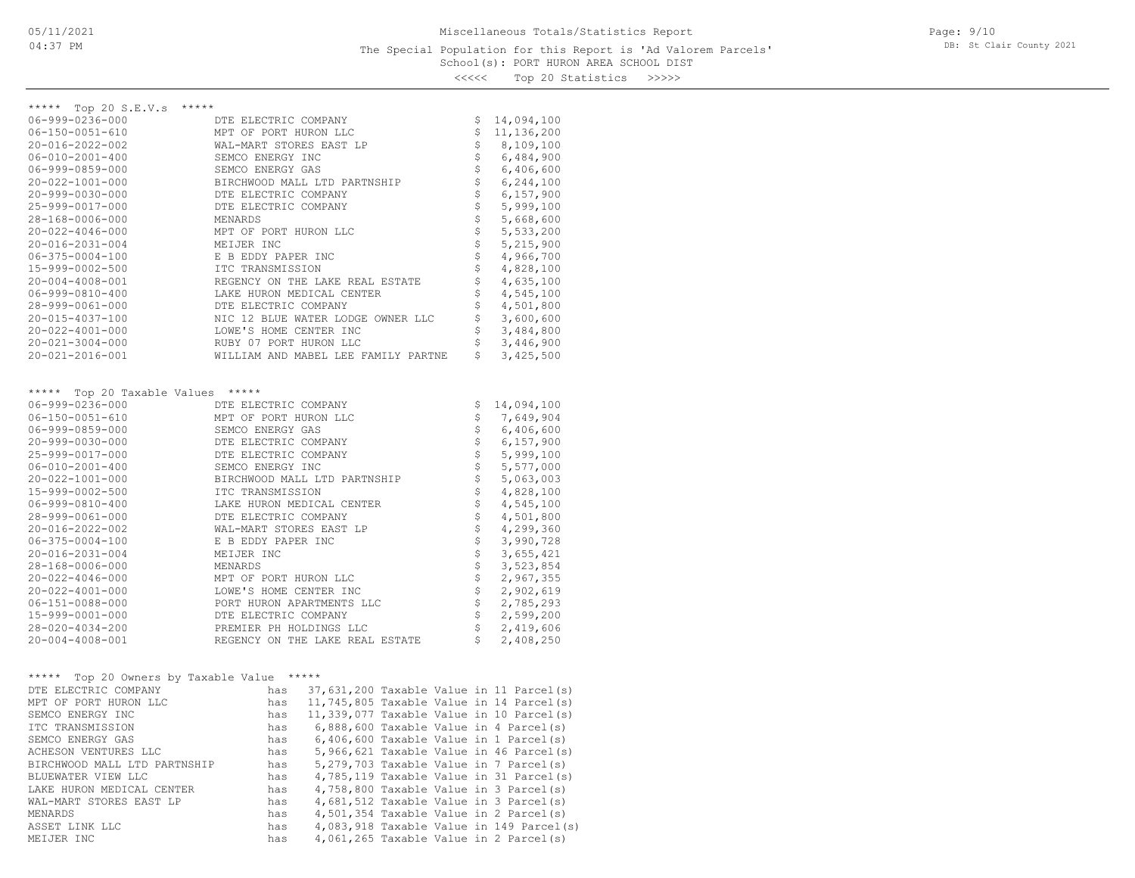#### School(s): PORT HURON AREA SCHOOL DIST The Special Population for this Report is 'Ad Valorem Parcels'

Page: 9/10 DB: St Clair County 2021

<<<<< Top 20 Statistics >>>>>

| ***** Top 20 S.E.V.s *****                 |                                                                                                                                                                                                                                       |                                |              |
|--------------------------------------------|---------------------------------------------------------------------------------------------------------------------------------------------------------------------------------------------------------------------------------------|--------------------------------|--------------|
| $06 - 999 - 0236 - 000$                    | DTE ELECTRIC COMPANY                                                                                                                                                                                                                  |                                | \$14,094,100 |
| $06 - 150 - 0051 - 610$                    | MPT OF PORT HURON LLC                                                                                                                                                                                                                 | \$                             | 11,136,200   |
| 20-016-2022-002                            | WAL-MART STORES EAST LP                                                                                                                                                                                                               |                                | \$8,109,100  |
| $06 - 010 - 2001 - 400$                    | SEMCO ENERGY INC                                                                                                                                                                                                                      | \$                             | 6,484,900    |
| 06-999-0859-000                            | SEMCO ENERGY GAS                                                                                                                                                                                                                      | \$                             | 6,406,600    |
| $20 - 022 - 1001 - 000$                    | BIRCHWOOD MALL LTD PARTNSHIP                                                                                                                                                                                                          | \$                             | 6,244,100    |
| 20-999-0030-000                            | DTE ELECTRIC COMPANY                                                                                                                                                                                                                  | $\boldsymbol{\mathsf{S}}$      | 6,157,900    |
| 25-999-0017-000                            | DTE ELECTRIC COMPANY                                                                                                                                                                                                                  | \$                             | 5,999,100    |
| 28-168-0006-000                            | MENARDS                                                                                                                                                                                                                               | $\boldsymbol{\dot{\varsigma}}$ | 5,668,600    |
|                                            |                                                                                                                                                                                                                                       | \$                             |              |
| $20 - 022 - 4046 - 000$                    | MPT OF PORT HURON LLC<br>MEIJER INC                                                                                                                                                                                                   |                                | 5,533,200    |
| 20-016-2031-004                            |                                                                                                                                                                                                                                       | \$                             | 5,215,900    |
| $06 - 375 - 0004 - 100$                    | E B EDDY PAPER INC                                                                                                                                                                                                                    | \$                             | 4,966,700    |
| 15-999-0002-500                            | ITC TRANSMISSION                                                                                                                                                                                                                      | \$                             | 4,828,100    |
| 20-004-4008-001                            | REGENCY ON THE LAKE REAL ESTATE                                                                                                                                                                                                       | \$                             | 4,635,100    |
| $06 - 999 - 0810 - 400$                    |                                                                                                                                                                                                                                       | \$                             | 4,545,100    |
| 28-999-0061-000                            |                                                                                                                                                                                                                                       | \$                             | 4,501,800    |
| 20-015-4037-100                            | NIC 12 BLUE WATER LODGE OWNER LLC                                                                                                                                                                                                     | \$                             | 3,600,600    |
| 20-022-4001-000                            |                                                                                                                                                                                                                                       | $\boldsymbol{\dot{\varsigma}}$ | 3,484,800    |
| $20 - 021 - 3004 - 000$                    |                                                                                                                                                                                                                                       | \$                             | 3,446,900    |
|                                            | REGENCY ON THE LAKE REAL E<br>LAKE HURON MEDICAL CENTER<br>DTE ELECTRIC COMPANY<br>NIC 12 BLUE WATER LODGE OW<br>LOWE'S HOME CENTER INC<br>RUBY 07 PORT HURON LLC<br>WILLIAM AND MAREL LET FAMI                                       | \$                             |              |
| 20-021-2016-001                            | WILLIAM AND MABEL LEE FAMILY PARTNE                                                                                                                                                                                                   |                                | 3,425,500    |
|                                            |                                                                                                                                                                                                                                       |                                |              |
| ***** Top 20 Taxable Values *****          |                                                                                                                                                                                                                                       |                                |              |
| 06-999-0236-000                            | DTE ELECTRIC COMPANY                                                                                                                                                                                                                  | \$                             | 14,094,100   |
| $06 - 150 - 0051 - 610$                    | MPT OF PORT HURON LLC                                                                                                                                                                                                                 | \$                             | 7,649,904    |
| 06-999-0859-000                            |                                                                                                                                                                                                                                       | $\ddot{\varsigma}$             | 6,406,600    |
| 20-999-0030-000                            |                                                                                                                                                                                                                                       | $\uplus$                       | 6,157,900    |
| 25-999-0017-000                            | SEMCO ENERGY GAS<br>SEMCO ENERGY GOMPANY<br>DTE ELECTRIC COMPANY<br>SEMCO ENERGY INC<br>BIRCHWOOD MALL LTD PAF<br>ITC TRANSMISSION<br>LAKE HURON MEDICAL CEP<br>DTE ELECTRIC COMPANY<br>WAL-MART STORES EAST 1<br>F B FINN' PAPER INC | \$                             | 5,999,100    |
| $06 - 010 - 2001 - 400$                    |                                                                                                                                                                                                                                       | \$                             | 5,577,000    |
| 20-022-1001-000                            | BIRCHWOOD MALL LTD PARTNSHIP                                                                                                                                                                                                          | $\boldsymbol{\mathsf{S}}$      | 5,063,003    |
|                                            |                                                                                                                                                                                                                                       | $\boldsymbol{\mathsf{S}}$      |              |
| 15-999-0002-500                            |                                                                                                                                                                                                                                       |                                | 4,828,100    |
| $06 - 999 - 0810 - 400$                    | LAKE HURON MEDICAL CENTER                                                                                                                                                                                                             | $\boldsymbol{\zeta}$           | 4,545,100    |
| 28-999-0061-000                            |                                                                                                                                                                                                                                       | \$                             | 4,501,800    |
| 20-016-2022-002                            | WAL-MART STORES EAST LP                                                                                                                                                                                                               | $\boldsymbol{\dot{\varsigma}}$ | 4,299,360    |
| $06 - 375 - 0004 - 100$                    | E B EDDY PAPER INC                                                                                                                                                                                                                    | \$                             | 3,990,728    |
| 20-016-2031-004                            | MEIJER INC                                                                                                                                                                                                                            | $\boldsymbol{\mathsf{S}}$      | 3,655,421    |
| 28-168-0006-000                            | MENARDS                                                                                                                                                                                                                               | \$                             | 3,523,854    |
| $20 - 022 - 4046 - 000$                    |                                                                                                                                                                                                                                       | $\boldsymbol{\mathsf{S}}$      | 2,967,355    |
| $20 - 022 - 4001 - 000$                    |                                                                                                                                                                                                                                       | $\boldsymbol{\mathsf{S}}$      | 2,902,619    |
| 06-151-0088-000                            |                                                                                                                                                                                                                                       | $\boldsymbol{\mathsf{S}}$      | 2,785,293    |
| 15-999-0001-000                            |                                                                                                                                                                                                                                       | $\boldsymbol{\mathsf{S}}$      | 2,599,200    |
|                                            | MPT OF PORT HURON LLC<br>LOWE'S HOME CENTER INC<br>PORT HURON APARTMENTS LLC<br>DTE ELECTRIC COMPANY<br>PREMIER PH HOLDINGS LLC                                                                                                       |                                |              |
| $28 - 020 - 4034 - 200$                    |                                                                                                                                                                                                                                       | $\ddot{\mathsf{S}}$            | 2,419,606    |
| 20-004-4008-001                            | REGENCY ON THE LAKE REAL ESTATE                                                                                                                                                                                                       | $\mathsf{S}$                   | 2,408,250    |
|                                            |                                                                                                                                                                                                                                       |                                |              |
| ***** Top 20 Owners by Taxable Value ***** |                                                                                                                                                                                                                                       |                                |              |
| DTE ELECTRIC COMPANY                       | has 37,631,200 Taxable Value in 11 Parcel(s)                                                                                                                                                                                          |                                |              |
| MPT OF PORT HURON LLC                      | has 11,745,805 Taxable Value in 14 Parcel(s)                                                                                                                                                                                          |                                |              |
| SEMCO ENERGY INC                           | has 11,339,077 Taxable Value in 10 Parcel(s)                                                                                                                                                                                          |                                |              |
| ITC TRANSMISSION                           | 6,888,600 Taxable Value in 4 Parcel(s)<br>has                                                                                                                                                                                         |                                |              |
| SEMCO ENERGY GAS                           | 6,406,600 Taxable Value in 1 Parcel(s)<br>has                                                                                                                                                                                         |                                |              |
| ACHESON VENTURES LLC                       | 5,966,621 Taxable Value in 46 Parcel(s)<br>has                                                                                                                                                                                        |                                |              |
| BIRCHWOOD MALL LTD PARTNSHIP               | 5,279,703 Taxable Value in 7 Parcel(s)<br>has                                                                                                                                                                                         |                                |              |
| BLUEWATER VIEW LLC                         | 4,785,119 Taxable Value in 31 Parcel(s)                                                                                                                                                                                               |                                |              |
|                                            | has                                                                                                                                                                                                                                   |                                |              |
| LAKE HURON MEDICAL CENTER                  | 4,758,800 Taxable Value in 3 Parcel(s)<br>has                                                                                                                                                                                         |                                |              |
| WAL-MART STORES EAST LP                    | 4,681,512 Taxable Value in 3 Parcel(s)<br>has                                                                                                                                                                                         |                                |              |
| MENARDS                                    | 4,501,354 Taxable Value in 2 Parcel(s)<br>has                                                                                                                                                                                         |                                |              |
| ASSET LINK LLC                             | 4,083,918 Taxable Value in 149 Parcel(s)<br>has                                                                                                                                                                                       |                                |              |
| MEIJER INC                                 | 4,061,265 Taxable Value in 2 Parcel(s)<br>has                                                                                                                                                                                         |                                |              |